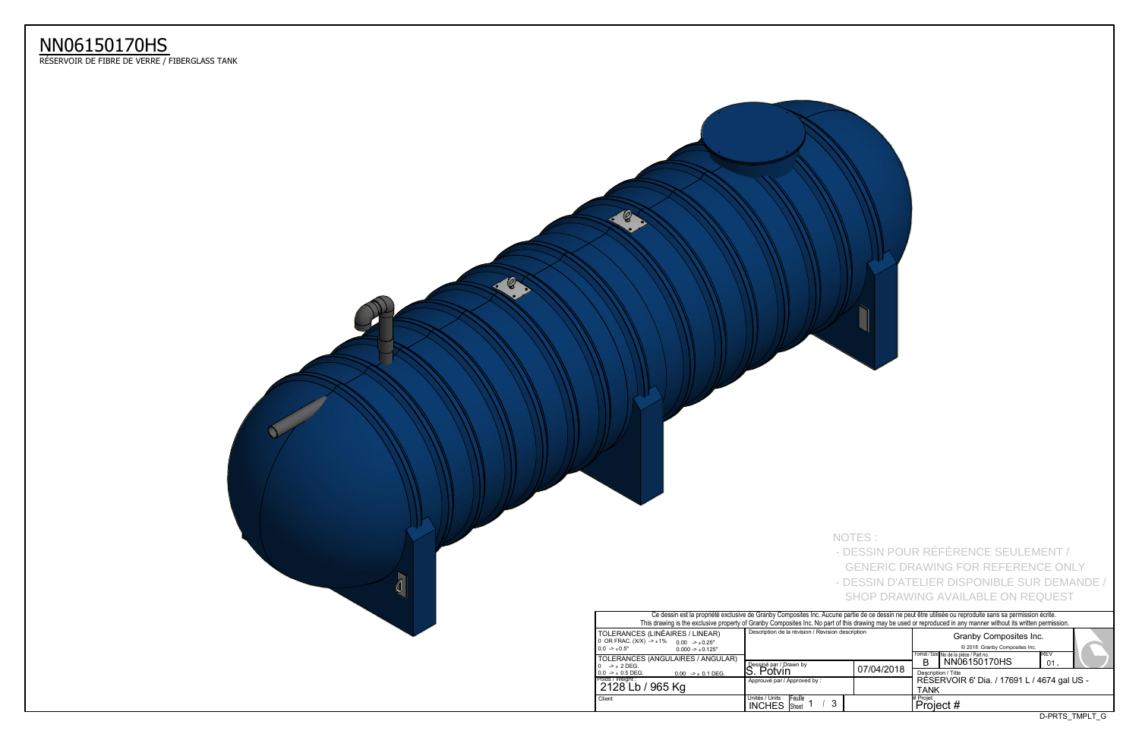D-PRTS\_TMPLT\_G



 $\mathscr{C}$ 

|                                                                                                                     |                                                                     | NOTES:     | - DESSIN POUR RÉFÉRENCE SEULEMENT /<br><b>GENERIC DRAWING FOR REFERENCE ONLY</b><br>- DESSIN D'ATELIER DISPONIBLE SUR DEMANDE /<br><b>SHOP DRAWING AVAILABLE ON REQUEST</b>                                                                                                                                                                                                                                                               |
|---------------------------------------------------------------------------------------------------------------------|---------------------------------------------------------------------|------------|-------------------------------------------------------------------------------------------------------------------------------------------------------------------------------------------------------------------------------------------------------------------------------------------------------------------------------------------------------------------------------------------------------------------------------------------|
| S (LINÉAIRES / LINEAR)<br>$X) -\pm 1\%$<br>$0.00$ -> $\pm 0.25$ "<br>$0.000 - 1.0125$ "<br>S (ANGULAIRES / ANGULAR) | Description de la révision / Revision description                   |            | Ce dessin est la propriété exclusive de Granby Composites Inc. Aucune partie de ce dessin ne peut être utilisée ou reproduite sans sa permission écrite.<br>This drawing is the exclusive property of Granby Composites Inc. No part of this drawing may be used or reproduced in any manner without its written permission.<br>Granby Composites Inc.<br>@ 2018 Granby Composites Inc.<br>REV<br>Format / Size No de la pièce / Part no. |
| $0.00$ -> $\pm$ 0.1 DEG.<br>/ 965 Kg                                                                                | Dessiné par / Drawn by<br>S. Potvin<br>Approuvé par / Approved by : | 07/04/2018 | NN06150170HS<br>B<br>01.<br>Description / Title<br>RÉSERVOIR 6' Dia. / 17691 L / 4674 gal US -<br><b>TANK</b>                                                                                                                                                                                                                                                                                                                             |
|                                                                                                                     | Unités / Units<br>Feuille<br>3<br><b>INCHES</b> Sheet 1             |            | # Projet<br>Project #                                                                                                                                                                                                                                                                                                                                                                                                                     |



## NN06150170HS

ReSERVOIR DE FIBRE DE VERRE / FIBERGLASS TANK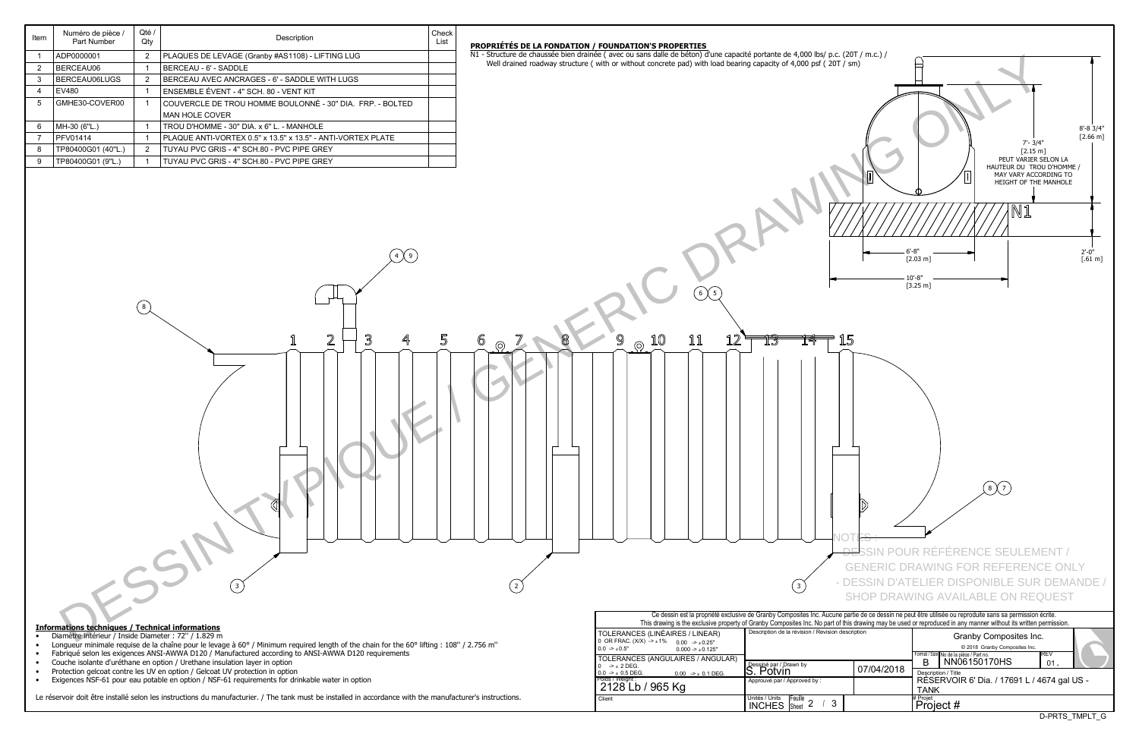D-PRTS\_TMPLT\_G

| Item                                                                                                                                                                                                                                                                                                                                                                                                                     | Numero de piece /<br>Part Number | Qle /<br>Qty                                                       | Description                                                 | Check<br>List                                                                                                                   |                                                                                                                  |                                                                 |                                     |                        |                                                                                                                                                                                                                                                                                                                                                                                                                                                                                                                                                                              |
|--------------------------------------------------------------------------------------------------------------------------------------------------------------------------------------------------------------------------------------------------------------------------------------------------------------------------------------------------------------------------------------------------------------------------|----------------------------------|--------------------------------------------------------------------|-------------------------------------------------------------|---------------------------------------------------------------------------------------------------------------------------------|------------------------------------------------------------------------------------------------------------------|-----------------------------------------------------------------|-------------------------------------|------------------------|------------------------------------------------------------------------------------------------------------------------------------------------------------------------------------------------------------------------------------------------------------------------------------------------------------------------------------------------------------------------------------------------------------------------------------------------------------------------------------------------------------------------------------------------------------------------------|
| ADP0000001<br>PLAQUES DE LEVAGE (Granby #AS1108) - LIFTING LUG                                                                                                                                                                                                                                                                                                                                                           |                                  |                                                                    | PROPRIÉTÉS DE LA FONDATION / FOUNDATION'S PROPERTIES        | N1 - Structure de chaussée bien drainée (avec ou sans dalle de béton) d'une capacité portante de 4,000 lbs/ p.c. (20T / m.c.) / |                                                                                                                  |                                                                 |                                     |                        |                                                                                                                                                                                                                                                                                                                                                                                                                                                                                                                                                                              |
| $\overline{2}$                                                                                                                                                                                                                                                                                                                                                                                                           | BERCEAU06                        | $\overline{2}$<br>BERCEAU - 6' - SADDLE<br>$\overline{\mathbf{1}}$ |                                                             |                                                                                                                                 | Well drained roadway structure (with or without concrete pad) with load bearing capacity of 4,000 psf (20T / sm) |                                                                 |                                     |                        |                                                                                                                                                                                                                                                                                                                                                                                                                                                                                                                                                                              |
| 3                                                                                                                                                                                                                                                                                                                                                                                                                        | BERCEAU06LUGS                    | $\overline{2}$                                                     | BERCEAU AVEC ANCRAGES - 6' - SADDLE WITH LUGS               |                                                                                                                                 |                                                                                                                  |                                                                 |                                     |                        |                                                                                                                                                                                                                                                                                                                                                                                                                                                                                                                                                                              |
| $\overline{a}$                                                                                                                                                                                                                                                                                                                                                                                                           | <b>EV480</b>                     | $\overline{1}$                                                     | ENSEMBLE ÉVENT - 4" SCH. 80 - VENT KIT                      |                                                                                                                                 |                                                                                                                  |                                                                 |                                     |                        |                                                                                                                                                                                                                                                                                                                                                                                                                                                                                                                                                                              |
| 5                                                                                                                                                                                                                                                                                                                                                                                                                        | GMHE30-COVER00                   |                                                                    | COUVERCLE DE TROU HOMME BOULONNÉ - 30" DIA. FRP. - BOLTED   |                                                                                                                                 |                                                                                                                  |                                                                 |                                     |                        |                                                                                                                                                                                                                                                                                                                                                                                                                                                                                                                                                                              |
|                                                                                                                                                                                                                                                                                                                                                                                                                          |                                  |                                                                    | MAN HOLE COVER                                              |                                                                                                                                 |                                                                                                                  |                                                                 |                                     |                        |                                                                                                                                                                                                                                                                                                                                                                                                                                                                                                                                                                              |
| 6                                                                                                                                                                                                                                                                                                                                                                                                                        | MH-30 (6"L.)                     |                                                                    | TROU D'HOMME - 30" DIA. x 6" L. - MANHOLE                   |                                                                                                                                 |                                                                                                                  |                                                                 |                                     |                        |                                                                                                                                                                                                                                                                                                                                                                                                                                                                                                                                                                              |
| $\overline{7}$                                                                                                                                                                                                                                                                                                                                                                                                           | <b>PFV01414</b>                  |                                                                    | PLAQUE ANTI-VORTEX 0.5" x 13.5" x 13.5" - ANTI-VORTEX PLATE |                                                                                                                                 |                                                                                                                  |                                                                 |                                     |                        |                                                                                                                                                                                                                                                                                                                                                                                                                                                                                                                                                                              |
| 8                                                                                                                                                                                                                                                                                                                                                                                                                        | TP80400G01 (40"L.)               | $\overline{2}$                                                     | TUYAU PVC GRIS - 4" SCH.80 - PVC PIPE GREY                  |                                                                                                                                 |                                                                                                                  |                                                                 |                                     |                        | $7 - 3/4"$<br>$[2.15 \; m]$                                                                                                                                                                                                                                                                                                                                                                                                                                                                                                                                                  |
| 9                                                                                                                                                                                                                                                                                                                                                                                                                        | TP80400G01 (9"L.)                |                                                                    | TUYAU PVC GRIS - 4" SCH.80 - PVC PIPE GREY                  |                                                                                                                                 |                                                                                                                  |                                                                 |                                     |                        | PEUT VARIER SE<br>HAUTEUR DU TROU                                                                                                                                                                                                                                                                                                                                                                                                                                                                                                                                            |
|                                                                                                                                                                                                                                                                                                                                                                                                                          |                                  | $(\; 8 \;)$                                                        | $4\sqrt{9}$<br>2<br>3                                       | 5                                                                                                                               | 6<br>$\circledcirc$                                                                                              | $6 \times 5$<br>9<br>11<br>12<br>10<br>$\odot$                  | TB<br>揷<br>$\left(3\right)$         | 15                     | MAY VARY ACCOR<br>HEIGHT OF THE M<br>$[2.03 \; m]$<br>$10 - 8"$<br>$[3.25 \; m]$<br><del>- DE'</del> SSIN POUR RÉFÉRENCE SEULEME<br><b>GENERIC DRAWING FOR REFERENCE</b><br>- DESSIN D'ATELIER DISPONIBLE SUR I<br><b>SHOP DRAWING AVAILABLE ON REQU</b><br>Ce dessin est la propriété exclusive de Granby Composites Inc. Aucune partie de ce dessin ne peut être utilisée ou reproduite sans sa permission écr<br>This drawing is the exclusive property of Granby Composites Inc. No part of this drawing may be used or reproduced in any manner without its written per |
| <b>Informations techniques / Technical informations</b><br>Diamètre intérieur / Inside Diameter : 72" / 1.829 m<br>$\bullet$<br>Longueur minimale requise de la chaîne pour le levage à 60° / Minimum required length of the chain for the 60° lifting : 108" / 2.756 m"<br>$\bullet$                                                                                                                                    |                                  |                                                                    |                                                             |                                                                                                                                 |                                                                                                                  | Description de la révision / Revision description               |                                     |                        |                                                                                                                                                                                                                                                                                                                                                                                                                                                                                                                                                                              |
|                                                                                                                                                                                                                                                                                                                                                                                                                          |                                  |                                                                    |                                                             |                                                                                                                                 | TOLERANCES (LINÉAIRES / LINEAR)<br>0 OR FRAC. $(X/X)$ $\rightarrow$ $\pm$ 1% 0.00 $\rightarrow$ $\pm$ 0.25"      |                                                                 |                                     | Granby Composites Inc. |                                                                                                                                                                                                                                                                                                                                                                                                                                                                                                                                                                              |
| Fabriqué selon les exigences ANSI-AWWA D120 / Manufactured according to ANSI-AWWA D120 requirements<br>$\bullet$<br>Couche isolante d'uréthane en option / Urethane insulation layer in option<br>$\bullet$<br>Protection gelcoat contre les UV en option / Gelcoat UV protection in option<br>$\bullet$<br>Exigences NSF-61 pour eau potable en option / NSF-61 requirements for drinkable water in option<br>$\bullet$ |                                  |                                                                    |                                                             |                                                                                                                                 |                                                                                                                  | $0.0$ -> $\pm 0.5"$<br>$0.000 \rightarrow \pm 0.125"$           |                                     |                        | © 2018 Granby Composites Inc.                                                                                                                                                                                                                                                                                                                                                                                                                                                                                                                                                |
|                                                                                                                                                                                                                                                                                                                                                                                                                          |                                  |                                                                    |                                                             |                                                                                                                                 |                                                                                                                  | TOLERANCES (ANGULAIRES / ANGULAR)<br>$0 \rightarrow \pm 2$ DEG. | Dessiné par / Drawn by<br>S. Potvin | 07/04/2018             | Format / Size No de la pièce / Part no.<br>B NN06150170HS                                                                                                                                                                                                                                                                                                                                                                                                                                                                                                                    |
|                                                                                                                                                                                                                                                                                                                                                                                                                          |                                  |                                                                    |                                                             |                                                                                                                                 |                                                                                                                  | $0.0$ -> $\pm$ 0.5 DEG.<br>$0.00$ -> $\pm$ 0.1 DEG.             | Approuvé par / Approved by :        |                        | Description / Title<br>RÉSERVOIR 6' Dia. / 17691 L / 46                                                                                                                                                                                                                                                                                                                                                                                                                                                                                                                      |
|                                                                                                                                                                                                                                                                                                                                                                                                                          |                                  |                                                                    |                                                             |                                                                                                                                 |                                                                                                                  | Poids / Weight : 2128 Lb / 965 Kg                               |                                     |                        | <b>TANK</b>                                                                                                                                                                                                                                                                                                                                                                                                                                                                                                                                                                  |

Check

Le réservoir doit être installé selon les instructions du manufacturier. / The tank must be installed in accordance with the manufacturer's instructions.

Numéro de pièce / Qté /

INCHES Sheet 2 / 3

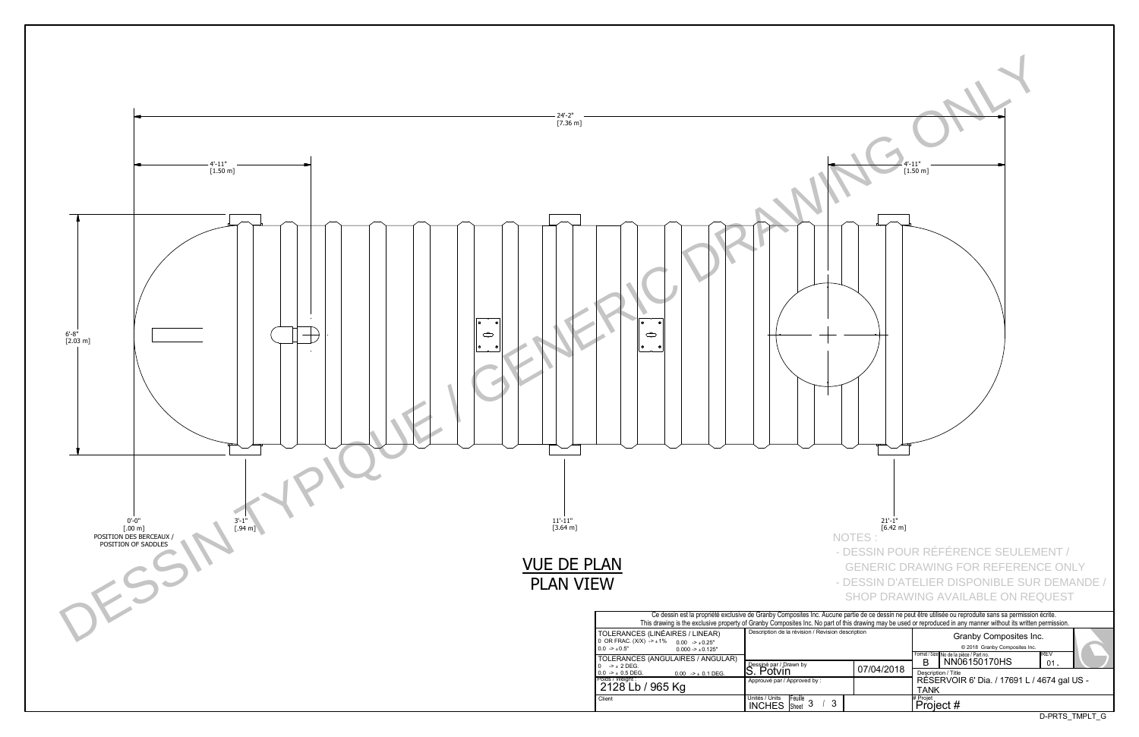